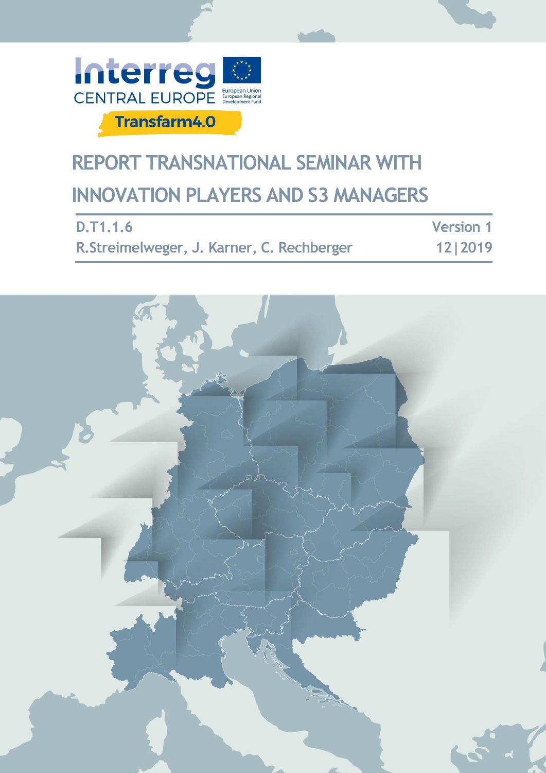

# **REPORT TRANSNATIONAL SEMINAR WITH INNOVATION PLAYERS AND S3 MANAGERS**

| D.T1.1.6                                   | <b>Version 1</b> |
|--------------------------------------------|------------------|
| R. Streimelweger, J. Karner, C. Rechberger | 12   2019        |

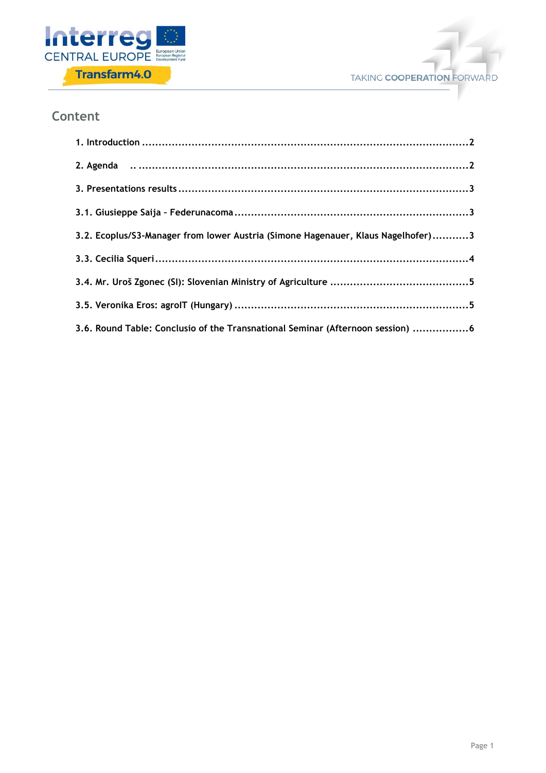



#### **Content**

| 3.2. Ecoplus/S3-Manager from lower Austria (Simone Hagenauer, Klaus Nagelhofer)3 |
|----------------------------------------------------------------------------------|
|                                                                                  |
|                                                                                  |
|                                                                                  |
| 3.6. Round Table: Conclusio of the Transnational Seminar (Afternoon session) 6   |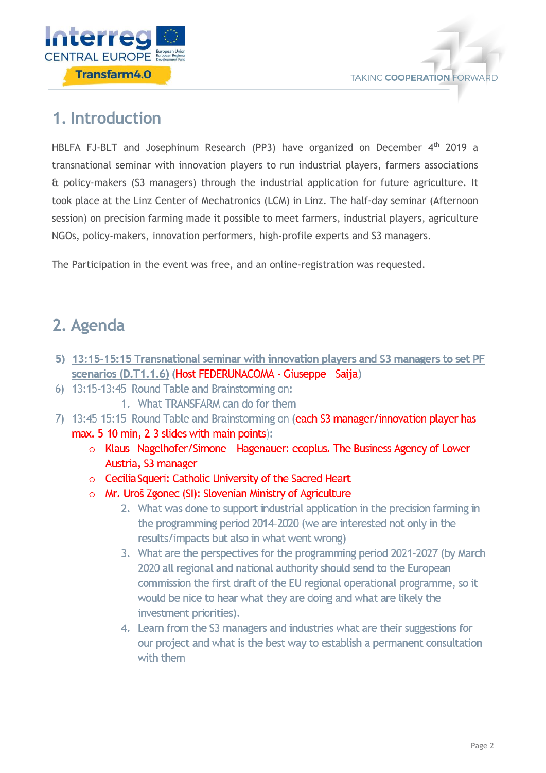



### <span id="page-2-0"></span>**1. Introduction**

HBLFA FJ-BLT and Josephinum Research (PP3) have organized on December 4<sup>th</sup> 2019 a transnational seminar with innovation players to run industrial players, farmers associations & policy-makers (S3 managers) through the industrial application for future agriculture. It took place at the Linz Center of Mechatronics (LCM) in Linz. The half-day seminar (Afternoon session) on precision farming made it possible to meet farmers, industrial players, agriculture NGOs, policy-makers, innovation performers, high-profile experts and S3 managers.

The Participation in the event was free, and an online-registration was requested.

## <span id="page-2-1"></span>**2. Agenda**

- 5) 13:15-15:15 Transnational seminar with innovation players and S3 managers to set PF scenarios (D.T1.1.6) (Host FEDERUNACOMA - Giuseppe Saija)
- 6) 13:15-13:45 Round Table and Brainstorming on:
	- 1. What TRANSFARM can do for them
- 7) 13:45-15:15 Round Table and Brainstorming on (each S3 manager/innovation player has max. 5-10 min, 2-3 slides with main points):
	- o Klaus Nagelhofer/Simone Hagenauer: ecoplus. The Business Agency of Lower Austria, S3 manager
	- o Cecilia Squeri: Catholic University of the Sacred Heart
	- $\circ$  Mr. Uroš Zgonec (SI): Slovenian Ministry of Agriculture
		- 2. What was done to support industrial application in the precision farming in the programming period 2014-2020 (we are interested not only in the results/impacts but also in what went wrong)
		- 3. What are the perspectives for the programming period 2021-2027 (by March 2020 all regional and national authority should send to the European commission the first draft of the EU regional operational programme, so it would be nice to hear what they are doing and what are likely the investment priorities).
		- 4. Learn from the S3 managers and industries what are their suggestions for our project and what is the best way to establish a permanent consultation with them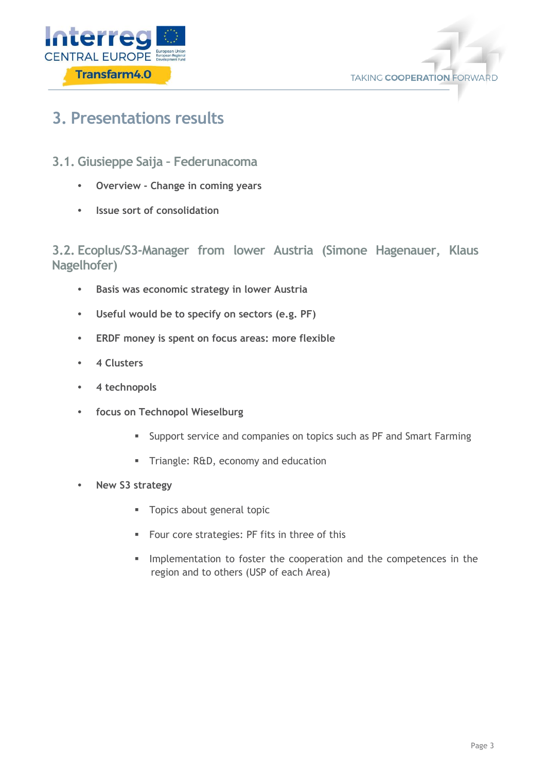



### <span id="page-3-0"></span>**3. Presentations results**

- <span id="page-3-1"></span>**3.1. Giusieppe Saija – Federunacoma**
	- **• Overview - Change in coming years**
	- **• Issue sort of consolidation**

<span id="page-3-2"></span>**3.2. Ecoplus/S3-Manager from lower Austria (Simone Hagenauer, Klaus Nagelhofer)**

- **• Basis was economic strategy in lower Austria**
- **• Useful would be to specify on sectors (e.g. PF)**
- **• ERDF money is spent on focus areas: more flexible**
- **• 4 Clusters**
- **• 4 technopols**
- **• focus on Technopol Wieselburg**
	- **EXECT** Support service and companies on topics such as PF and Smart Farming
	- **Triangle: R&D, economy and education**
- **• New S3 strategy**
	- **Topics about general topic**
	- **Four core strategies: PF fits in three of this**
	- Implementation to foster the cooperation and the competences in the region and to others (USP of each Area)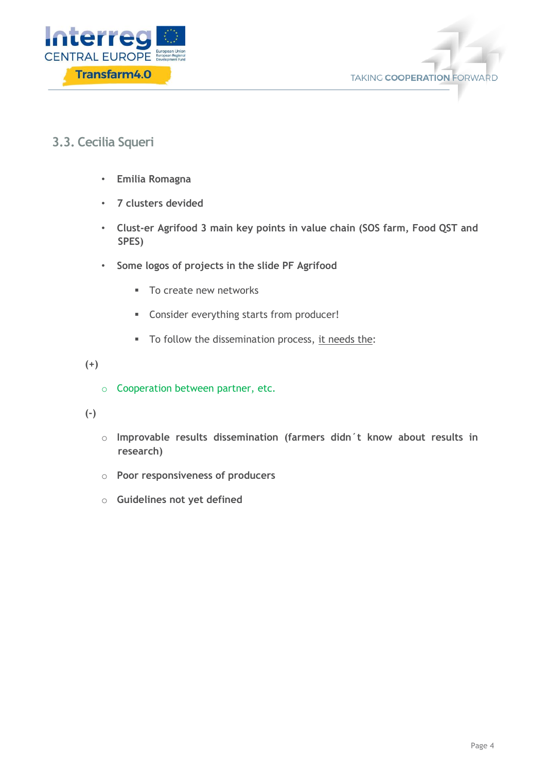



#### <span id="page-4-0"></span>**3.3. Cecilia Squeri**

- **Emilia Romagna**
- **7 clusters devided**
- **Clust-er Agrifood 3 main key points in value chain (SOS farm, Food QST and SPES)**
- **Some logos of projects in the slide PF Agrifood**
	- **To create new networks**
	- Consider everything starts from producer!
	- To follow the dissemination process, it needs the:

**(+)**

o Cooperation between partner, etc.

**(-)**

- o **Improvable results dissemination (farmers didn´t know about results in research)**
- o **Poor responsiveness of producers**
- o **Guidelines not yet defined**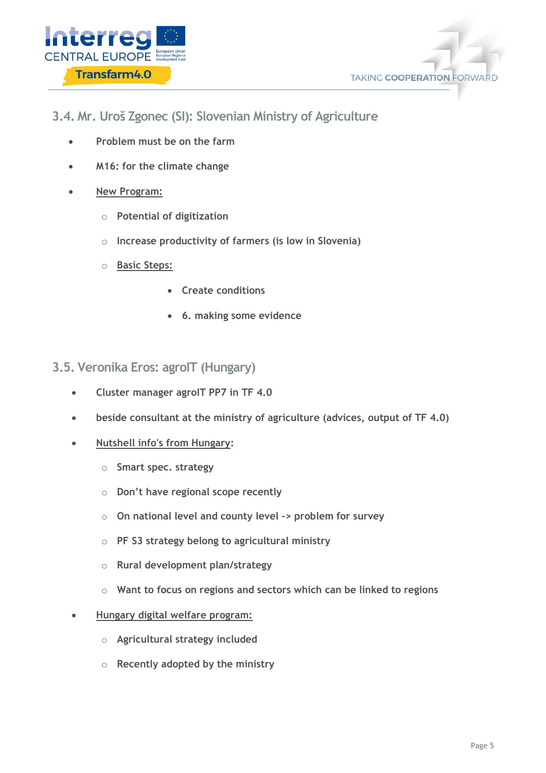



- <span id="page-5-0"></span>**3.4. Mr. Uroš Zgonec (SI): Slovenian Ministry of Agriculture**
	- **Problem must be on the farm**
	- **M16: for the climate change**
	- **New Program:**
		- o **Potential of digitization**
		- o **Increase productivity of farmers (is low in Slovenia)**
		- o **Basic Steps:**
			- **Create conditions**
			- **6. making some evidence**
- <span id="page-5-1"></span>**3.5. Veronika Eros: agroIT (Hungary)**
	- **Cluster manager agroIT PP7 in TF 4.0**
	- **beside consultant at the ministry of agriculture (advices, output of TF 4.0)**
	- **Nutshell info's from Hungary:**
		- o **Smart spec. strategy**
		- o **Don't have regional scope recently**
		- o **On national level and county level -> problem for survey**
		- o **PF S3 strategy belong to agricultural ministry**
		- o **Rural development plan/strategy**
		- o **Want to focus on regions and sectors which can be linked to regions**
	- **Hungary digital welfare program:**
		- o **Agricultural strategy included**
		- o **Recently adopted by the ministry**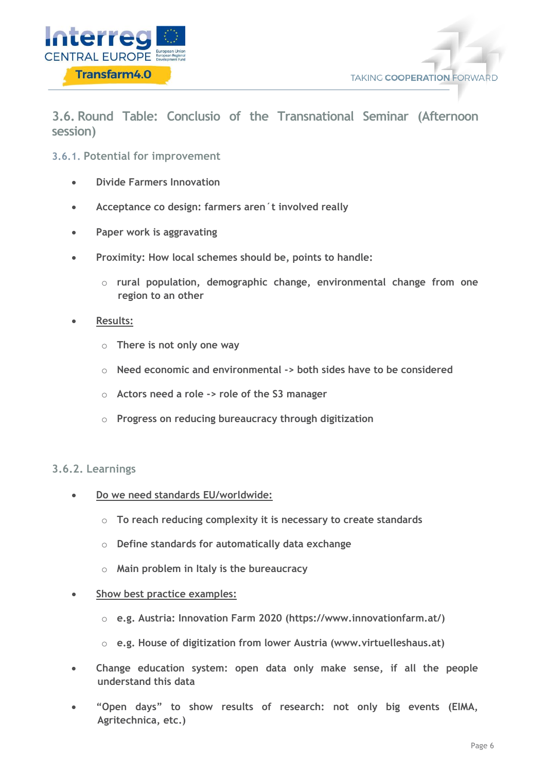



<span id="page-6-0"></span>**3.6. Round Table: Conclusio of the Transnational Seminar (Afternoon session)**

**3.6.1. Potential for improvement**

- **Divide Farmers Innovation**
- **Acceptance co design: farmers aren´t involved really**
- **Paper work is aggravating**
- **Proximity: How local schemes should be, points to handle:** 
	- o **rural population, demographic change, environmental change from one region to an other**
- **Results:**
	- o **There is not only one way**
	- o **Need economic and environmental -> both sides have to be considered**
	- o **Actors need a role -> role of the S3 manager**
	- o **Progress on reducing bureaucracy through digitization**

#### **3.6.2. Learnings**

- **Do we need standards EU/worldwide:**
	- o **To reach reducing complexity it is necessary to create standards**
	- o **Define standards for automatically data exchange**
	- o **Main problem in Italy is the bureaucracy**
- **Show best practice examples:**
	- o **e.g. Austria: Innovation Farm 2020 (https://www.innovationfarm.at/)**
	- o **e.g. House of digitization from lower Austria (www.virtuelleshaus.at)**
- **Change education system: open data only make sense, if all the people understand this data**
- **"Open days" to show results of research: not only big events (EIMA, Agritechnica, etc.)**